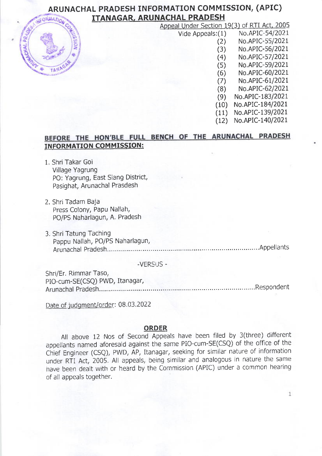#### ARUNACHAL PRADESH TNFORMATION COMMISSION, (APIC) ITANAGAR, ARUNACHAL PRADESH **UFORMATION**

| Appeal Under Section 19(3) of RTI Act, 2005 |                  |
|---------------------------------------------|------------------|
| Vide Appeals: (1)                           | No.APIC-54/2021  |
| (2)                                         | No.APIC-55/2021  |
| (3)                                         | No.APIC-56/2021  |
| (4)                                         | No.APIC-57/2021  |
| (5)                                         | No.APIC-59/2021  |
| (6)                                         | No.APIC-60/2021  |
| (7)                                         | No.APIC-61/2021  |
| (8)                                         | No.APIC-62/2021  |
| (9)                                         | No.APIC-183/2021 |
| (10)                                        | No.APIC-184/2021 |
| (11)                                        | No.APIC-139/2021 |
| (12)                                        | No.APIC-140/2021 |
|                                             |                  |

# BEFORE THE HON'BLE FULL BENCH OF THE ARUNACHAL PRADESH INFORMATION COMMISSION:

- 1. Shri Takar Goi Village Yagrung PO: Yagrung, East Siang District, Pasighat, Arunachal Prasdesh
- 2. Shri Tadam Baja Press Colony, Papu Nallah, PO/PS Naharlagun, A. Pradesh
- 3. Shri Tatung Taching Pappu Nallah, PO/PS Naharlagun, Arunachal Pradesh.......... .Appellants

-VERSUS -

Shri/Er. Rimmar Taso, PIO-cum-SE(CSQ) PWD, Itanagar, Arunachal Pradesh.......... "'Respondent

Date of judgment/order: 08.03.2022

#### ORDER

All above 12 Nos of second Appeals have been filed by 3(three) different appellants named aforesaid against the same PIO-cum-SE(CSQ) of the office of the chief Engineer (csQ), PWD, AP, Itanagar, seeking for similar nature of information under RTI Act, 2005. All appeals, being similar and analogous in nature the same have been dealt with or heard by the commission (APIC) under a common hearing of all appeals together.

 $\mathbf{1}$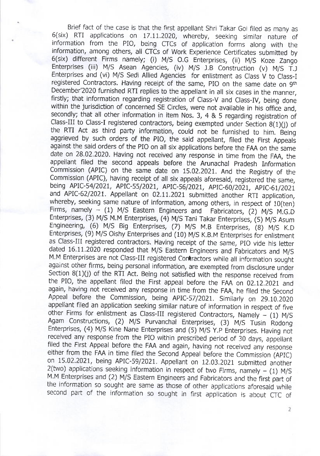Brief fact of the case is that the first appellant Shri Takar Goi filed as manv as 6(six) RTI applications on 17.11.2020, whereby, seeking similar nature of information from the PIo, being crcs of application forms alonq with the information, among others, all CTCs of Work Experience Certificates submitted by 6(six) different Firms namely; (i) M/S O.G Enterprises, (ii) M/S Koze Zango Enterprises (iii) M/S Asean Agencies, (iv) M/S J.B Construction (v) M/S T.J Enterprises and (vi) M/s sedi Allied Agencies for enlistment as class v to class-I registered Contractors. Having receipt of the same, PIO on the same date on 9th December'2020 furnished RTI replies to the appellant in all six cases in the manner, firstly; that information regarding registration of class-V and class-IV, being done within the jurisdiction of concerned SE Circles, were not available in his office and, secondly; that all other information in item Nos, 3, 4 & 5 regarding registration of Class-III to Class-I registered contractors, being exempted under Section  $8(1)(j)$  of the RTI Act as third party information, could not be furnished to him. Being aggrieved by such orders of the PIO, the said appellant, filed the First Appeals against the said orders of the PIO on all six applications before the FAA on the same date on 28.02.2020. Having not received any response in time from the FAA, the appellant filed the second appeals before the Arunachal pradesh Information Commission (APIC) on the same date on 15.02.2021. And the Registry of the commission (APIC), having receipt of all six appeals aforesaid, registered the same, being APIC-54/2021, APIC-55/2021, APIC-56/2021, APIC-60/2021, APIC-61/2021 and APIC-62/2021. Appellant on 02.11.2021 submitted another RTI application, whereby, seeking same nature of information, among others, in respect of 10(ten)<br>Firms, namely  $-$  (1) M/S Eastern Engineers and Fabricators, (2) M/S M.G.D Firms, namely  $-$  (1) M/S Eastern Engineers and Enterprises, (3) M/S M.M Enterprises, (4) M/S Tani Takar Enterprises, (5) M/S Asum Engineering, (6) M/S Big Enterprises, (7) M/S M.B Enterprises, (8) M/S K.D Enterprises, (9) M/S Oishy Enterprises and (10) M/S K.B.M Enterprises for enlistment as Class-III registered contractors. Having receipt of the same, PIO vide his letter dated 16.11.2020 responded that M/s Eastern Engineers and Fabricators and M/s M.M Enterprises are not Class-III registered Contractors while all information sought against other firms, being personal information, are exempted from disclosure under<br>Section 8(1)(j) of the RTI Act. Being not satisfied with the response received from the PIO, the appellant filed the First appeal before the FAA on 02.12.2021 and again, having not received any response in time from the FAA, he filed the second Appeal before the Commission, being APIC-57/2021. Similarly on 29.10.2020 appellant filed an application seeking similar nature of information in respect of five other Firms for enlistment as Class-III registered Contractors, Namely  $-$  (1) M/S Agam Constructions, (2) M/S Purvanchal Enterprises, (3) M/S Tusin Rodong Enterprises, (4) M/s Kine Nane Enterprises and (5) M/s y.p Enterprises. Havinq not received any response from the PIO within prescribed period of 30 days, appellant filed the First Appeal before the FAA and again, having not received any response either from the FAA in time filed the Second Appeal before the Commission (APIC) on 15.02.2021, being APIC-59/2021. Appellant on 12.03.2021 submitted another 2(two) applications seeking information in respect of two Firms, namely – (1) M/S<br>M.M Enterprises and (2) M/S Eastern Engineers and Fabricators and the first part of the information so sought are same as those of other applications aforesaid while second part of the information so sought in first application is about crc of

 $\overline{2}$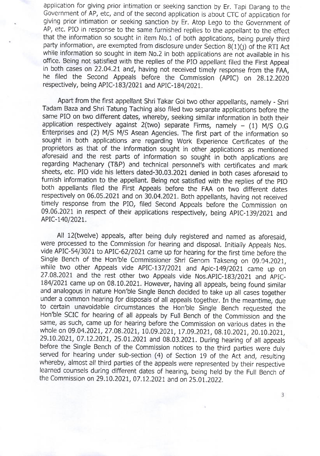application for giving prior intimation or seeking sanction by Er. Tapi Darang to the Government of AP, etc, and of the second application is about CTC of application for giving prior intimation or seeking sanction by Er. Atop Lego to the Government of AP, etc. PIO in response to the same furnished replies to the appellant to the effect that the information so sought in item No.1 of both applications, being purely third party information, are exempted from disclosure under Section  $B(1)(j)$  of the RTI Act while information so sought in item No.2 in both applications are not available in his office. Being not satisfied with the replies of the plo appellant filed the First Appeal in both cases on 22.04.21 and, having not received timely response from the FAA, he filed the Second Appeals before the Commission (ApIC) on 28.12.2020 respectively, being APIC-183/2021 and APIC-184/2021.

Apart from the first appellant Shri Takar Goi two other appellants, namely - Shri Tadam Baza and Shri Tatung Taching also filed two separate applications before the same PIO on two different dates, whereby, seeking similar information in both their application respectively against  $2$ (two) separate Firms, namely - (1) M/S O.G Enterprises and (2) M/s M/s Asean Agencies. The first part of the information so sought in both applications are regarding Work Experience Certificates of the proprietors as that of the information sought in other applications as mentioned aforesaid and the rest parts of information so sought in both applications are regarding Machenary (T&P) and technical personnel's with certificates and mark sheets, etc. PIo vide his letters dated-30.03.2021 denied in both cases aforesaid to furnish information to the appellant. Being not satisfied with the replies of the PIO both appellants filed the First Appeals before the FAA on two different dates respectively on 06.05.2021 and on 30.04.2021. Both appellants, having not received timely response from the PIo, filed second Appeals before the commission on 09.06.2021 in respect of their applications respectively, being APIC-139/2021 and APIC-140/2021.

All 12(twelve) appeals, after being duly registered and named as aforesaid, were processed to the Commission for hearing and disposal. Initially Appeals Nos. vide APIC-54/3021 to APIC-62/2021 came up for hearing for the first time before the Single Bench of the Hon'ble Commissioner Shri Genom Takseng on 09.04.2021, while two other Appeals vide APIC-137/2021 and Apic-149/2021 came up on 27.08.2021 and the rest other two Appeals vide Nos.APIC-183/2021 and APIC-184/2021 came up on 08.10.2021. However, having all appeals, being found similar and analogous in nature Hon'ble Single Bench decided to take up all cases together under a common hearing for disposals of all appeals together. In the meantime, due to certain unavoidable circumstances the Hon'ble Single Bench requested the Hon'ble SCIC for hearing of all appeals by Full Bench of the Commission and the same, as such, came up for hearing before the commission on various dates in the whole on 09.04.2021, 27.08.2021, 10.09.2021, 17.09.2021, 08.10.2021, 20.10.2021, 29.10.2021, 07.12.2021, 25.01.2021 and 08.03.2021. During hearing of all appeals before the Single Bench of the Commission notices to the third parties were duly served for hearing under sub-section (4) of section 19 of the Act and, resulting whereby, almost all third parties of the appeals were represented by their respective learned counsels during different dates of hearing, being held by the Full Bench of the Commission on 29.10.2021, 07.12.2021 and on 25.01.2022.

3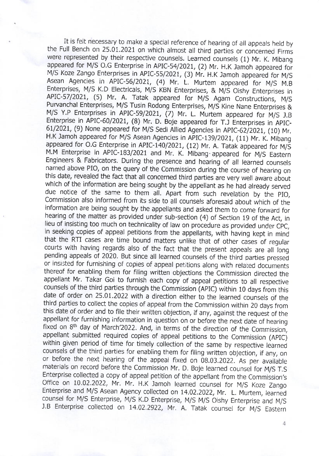It is felt necessary to make a special reference of hearing of all appeals held by the Full Bench on 25.01.2021 on which almost all third parties or concerned Firms were represented by their respective counsels. Learned counsels (1) Mr. K. Mibang appeared for M/S O.G Enterprise in APIC-54/2021, (2) Mr. H.K Jamoh appeared for M/S Koze Zango Enterprises in APIC-55/2021, (3) Mr. H.K Jamoh appeared for M/S Asean Agencies in APIC-56/202I, (4) Mr. L. Murtem appeared for M/S M.B Enterprises, M/S K.D Electricals, M/S KBN Enterprises, & M/S Oishy Enterprises in APIC-57/2021, (5) Mr. A. Tatak appeared for M/S Agam Constructions, M/S Purvanchal Enterprises, M/S Tusin Rodong Enterprises, M/S Kine Nane Enterprises & M/S Y.P Enterprises in APIC-59/2021, (7) Mr. L. Murtem appeared for M/S J.B Enterprise in APIC-60/2021, (8) Mr. D. Boje appeared for T.J Enterprises in APIC-61/2021, (9) None appeared for M/S Sedi Allied Agencies in APIC-62/2021, (10) Mr. H.K Jamoh appeared for M/S Asean Agencies in APIC-139/2021, (11) Mr. K. Mibang appeared for O.G Enterprise in APIC-140/2021, (12) Mr. A. Tatak appeared for M/S M.M Enterprise in ApIC-183/2021 and Mr. K. Mibang'appeared for M/s Easrern Engineers & Fabricators. During the presence and hearing of all learned counsels named above PIo, on the query of the commission during the course of hearing on this date, revealed the fact that all concerned third parties are very well aware about which of the information are being sought by the appellant as he had already served due notice of the same to them all. Apart from such revelation by the PIO, commission also informed From its side to all counsels aforesaid about which of the information are being sought by the appellants and asked them to come fonvard for hearing of the matter as provided under sub-section (4) of section 19 oF the Act, in lieu of insisting too much on technicality of law on procedure as provided under cpC. in seeking copies of appeal petitions from the appellants, with having kept in mind that the RTI cases are time bound matters unlike that of other cases of regular courts with having regards also of the fact that the present appeals are all long pending appeals of 2020. But since all learned counsels of the third parties pressed or insisted for furnishing of copies of appeal petitions along with related documents thereof for enabling them for filing written objections the commission directed the appellant Mr. Takar Goi to furnish each copy of appeal petitions to all respective counsels of the third parties through the commission (ApIc) within 10 days from this date of order on 25.01.2022 with a direction either to the learned counsels of the third parties to collect the copies of appeal from the Commission within 20 days from this date of order and to file their written objection, if any, against the request of the appellant for furnishing information in question on or before the next date of heanng fixed on  $8<sup>th</sup>$  day of March'2022. And, in terms of the direction of the Commission, appellant submitted required copies of appeal petitions to the commission (ApIC) within given period of time for timely collection of the same by respective learned counsels of the third parties for enabling them for filing written objection, if any, on or before the next hearing of the appeal fixed on  $08.03.2022$ . As per available materials on record before the Commission Mr. D. Boje learned counsel for M/S T.S<br>Enterprise collected a copy of appeal petition of the appellant from the Commission's Office on 10.02.2022, Mr. Mr. H.K Jamoh learned counsel for M/S Koze Zango Enterprise and M/S Asean Agency collected on 14.02.2022, Mr. L. Murtem, learned counsel for M/S Enterprise, M/S K.D Enterprise, M/S M/S Oishy Enterprise and M/S J.B Enterprise collected on 14.02.2922, Mr. A. Tatak counsel for M/S Eastern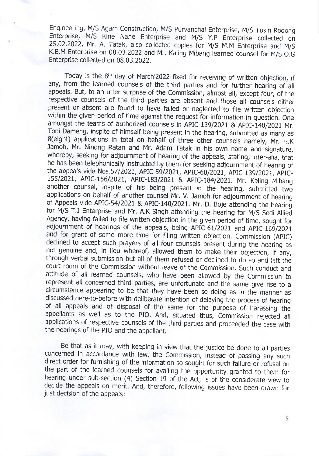Engineering, M/S Agam Construction, M/S Purvanchal Enterprise, M/S Tusin Rodong Enterprise, M/S Kine Nane Enterprise and M/S Y.P Enterprise collected on 25.02.2022, Mr. A. Tatak, also collected copies for M/S M.M Enterprise and M/S K.B.M Enterprise on 08.03.2022 and Mr. Kaling Mibang learned counsel for M/s o.G Enterprise collected on 08.03.2022.

Today is the 8<sup>th</sup> day of March'2022 fixed for receiving of written objection, if any, from the learned counsels of the third parties and for further hearing of all appeals. But, to an utter surprise of the Commission, almost all, except four, of the respective counsels of the third parties are absent and those all counsels either present or absent are found to have failed or neglected to file written obiection within the given period of time against the request for information in question. One amongst the teams of authorized counsels in ApIC-13g/2021 & Aplc-i40/2027 Mr. Toni Dameng, inspite of himself being present in the hearing, submitted as many as 8(eight) applications in total on behalf of three other counsels namely, Mr. H.K Jamoh, Mr. Ninong Ratan and Mr. Adam Tatak in his own name and signature, whereby, seeking for adjournment of hearing of the appeals, stating, inter-alia, that he has been telephonically instructed by them for seeking adjournment of hearing of the appeals vide Nos.57/2021, APIC-59/2021, APIC-60/2021, APIC-139/2021, APIC-155/2021, APIC-156/2021, APIC-183/2021 & APIC-184/2021. Mr. Kaling Mibang another counsel, inspite of his being present in the hearing, submitted two applications on behalf of another counsel Mr. V. Jamoh for adjournment of hearing of Appeals vide APIC-54/2021 & APIC-140/2021. Mr. D. Boje attending the hearing for M/S T.J Enterprise and Mr. A.K Singh attending the hearing for M/S Sedi Allied Agency, having failed to file written objection in the given period of time, sought for adjournment of hearings of the appeals, being APIC-61/2021 and APIC-169/2021 and for grant of some more time for filing written objection. Commission (APIC) declined to accept such prayers of all four counsels present during the hearing as not genuine and, in lieu whereof, allowed them to make their objection, if any, through verbal submission but all of them refused or declined to do so and left the court room of the commission without leave of the commission. such conduct and attitude of all learned counsels, who have been allowed by the Commission to represent all concerned third parties, are unfortunate and the same qive rise to <sup>a</sup> circumstance appearing to be that they have been so doing as in the manner as discussed here-to-before with deliberate intention of delaying the process of hearing of all appeals and of disposal of the same for the purpose of harassing the appellants as well as to the plo. And, situated thus, commission reiected all applications of respective counsels of the third parties and proceeded the case with the hearings of the PIO and the appellant.

Be that as it may, with keeping in view that the justice be done to all parties concerned in accordance with law, the Commission, instead of passing any such direct order for furnishing of the information so sought for such failure or refusal on the part of the learned counsels for availing the opportunity granted to them for hearing under sub-section (4) section 19 of the Act, is of the considerate view ro decide the appeals on merit. And, therefore, following issues have been drawn for just decision of the appeals: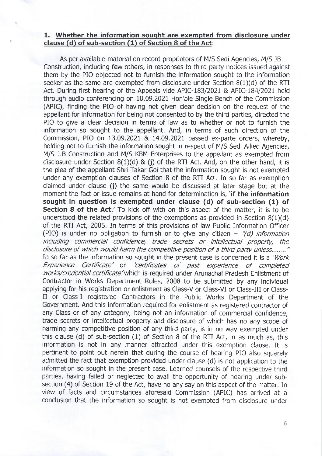### 1. Whether the information sought are exempted from disclosure under clause (d) of sub-section  $(1)$  of Section 8 of the Act:

As per available material on record proprietors of M/S Sedi Agencies, M/S JB Construction, including few others, in responses to third party notices issued against them by the PIO objected not to furnish the information sought to the information seeker as the same are exempted from disclosure under Section B(1)(d) of the RTI Act. During first hearing of the Appeals vide APIC-183/2021 & APIC-184/2021 held through audio conferencing on 10.09.2021 Hon'ble Single Bench of the Commission (APIC), finding the PIO of having not given clear decision on the request of the appellant for information for being not consented to by the third parties, directed the PIO to give a clear decision in terms of law as to whether or not to furnish the information so sought to the appellant. And, in terms of such direction of the Commission, PIO on 13.09.2021 & 14.09.2021 passed ex-pafte orders, whereby, holding not to furnish the information sought in respect of M/S Sedi Allied Agencies, M/S J.B Construction and M/S KBM Enterprises to the appellant as exempted from disclosure under Section  $8(1)(d)$  & (j) of the RTI Act. And, on the other hand, it is the plea of the appellant Shri Takar Goi that the information sought is not exempted under any exemption clauses of Section 8 of the RTI Act. In so far as exemption claimed under clause fi) the same would be discussed at later stage but at the moment the fact or issue remains at hand for determination is. 'if the information sought in question is exempted under clause (d) of sub-section (1) of Section 8 of the Act.' To kick off with on this aspect of the matter, it is to be understood the related provisions of the exemptions as provided in Section  $8(1)(d)$ of the RTI Act, 2005. In terms of this provisions of law Public Information Officer (PIO) is under no obligation to furnish or to give any citizen  $-$  "(d) information including commercial confidence, trade secrets or intellectual property, the disclosure of which would harm the competitive position of a third party unless........" In so far as the information so sought in the present case is concerned it is a 'Work' Experience Certificate' or 'certificates of past experience of completed works/credential certificate' which is required under Arunachal Pradesh Enlistment of Contractor in Works Department Rules, 2008 to be submitted by any individual applying for his registration or enlistment as Class-V or Class-VI or Class-III or Class-<br>II or Class-I registered Contractors in the Public Works Department of the Government. And this information required for enlistment as registered contractor of any Class or of any category, being not an information of commercial confidence, trade secrets or intellectual property and disclosure of which has no any scope of harming any competitive position of any third party, is in no way exempted under this clause (d) of sub-section (1) of Section B of the RTI Act, in as much as, this information is not in any manner attracted under this exemption clause. It is pertinent to point out herein that during the course of hearing PIO also squarely admitted the fact that exemption provided under clause (d) is not application to the information so sought in the present case. Learned counsels of the respective third parties, having failed or neglected to avail the opportunity of hearing under subsection (4) of Section 19 of the Act, have no any say on this aspect of the matter. In view of facts and circumstances aforesaid Commission (APIC) has arrived at <sup>a</sup> conclusion that the information so sought is not exempted from disclosure under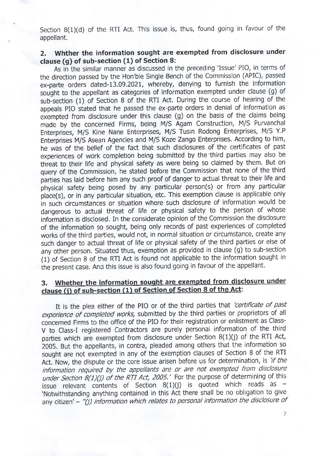Section 8(1)(d) of the RTI Act. This issue is, thus, found going in favour of the appellant.

### 2, Whther the information sought are exempted from disclosure under clause (g) of sub-section (1) of Section 8:

As in the similar manner as discussed in the preceding 'Issue' PIO, in terms of the direction passed by the Hon'ble single Bench of the commission (APIC), passed ex-parte orders dated-13.09.2021, whereby, denying to furnish the information sought to the appellant as categories of information exempted under clause (g) of sub-section (1) of Section 8 of the RTI Act. During the course of hearing of the appeals PIO stated that he passed the ex-parte orders in denial of information as exempted from disclosure under this clause (g) on the basis of the claims being made by the concerned Firms, being M/S Agam Construction, M/S Purvanchal Enterprises, M/S Kine Nane Enterprises, M/S Tusin Rodong Enterprises, M/S Y.P Enterprises M/S Asean Agencies and M/S Koze Zango Enterprises. According to him, he was of the belief of the fact that such disclosures of the certificates of past experiences of work completion being submitted by the'third parties may also be threat to their life and physical safety as were being so claimed by them. But on query of the commission, he stated before the commission that none of the third parties has laid before him any such proof of danger to actual threat to their life and physical safety being posed by any particular person(s) or from any particular place(s), or in any particular situation, etc. This exemption clause is applicable only in such circumstances or Situation where such disclosure of information would be dangerous to actual threat of life or physical safety to the person of whose information is disclosed. In the considerate opinion of the Commission the disclosure of the information so sought, being only records of past experiences of completed works of the third parties, would not, in normal situation or circumstance, create any such danger to actual threat of life or physical safety of the third parties or else of any other person. situated thus, exemption as provided in clause (g) to sub-section (1) of Section 8 of the RTI Act is found not applicable to the information sought in the present case. And this issue is also found going in favour of the appellant.

## 3. Whether the information sought are exempted from disclosure under clause (i) of sub-section (1) of Section of Section 8 of the Act:

It is the plea either of the PIO or of the third parties that 'certificate of past experience of completed works, submitted by the third parties or proprietors of all concerned Firms to the office of the PIO for their registration or enlistment as Class-V to Class-l registered Contractors are purely personal information of the third parties which are exempted from disclosure under Section  $8(1)(j)$  of the RTI Act, 2005. But the appellants, in contra, pleaded among others that the information so sought are not exempted in any of the exemption clauses of section 8 of the RTI Act. Now, the dispute or the core issue arisen before us for determination, is 'if the information required by the appellants are or are not exempted from disclosure under Section  $8(1)(j)$  of the RTI Act, 2005.' For the purpose of determining of this issue relevant contents of Section  $8(1)(j)$  is quoted which reads as -'Notwithstanding anything contained in this Act there shall be no obligation to give any citizen' - " $(j)$  information which relates to personal information the disclosure of

 $\overline{7}$